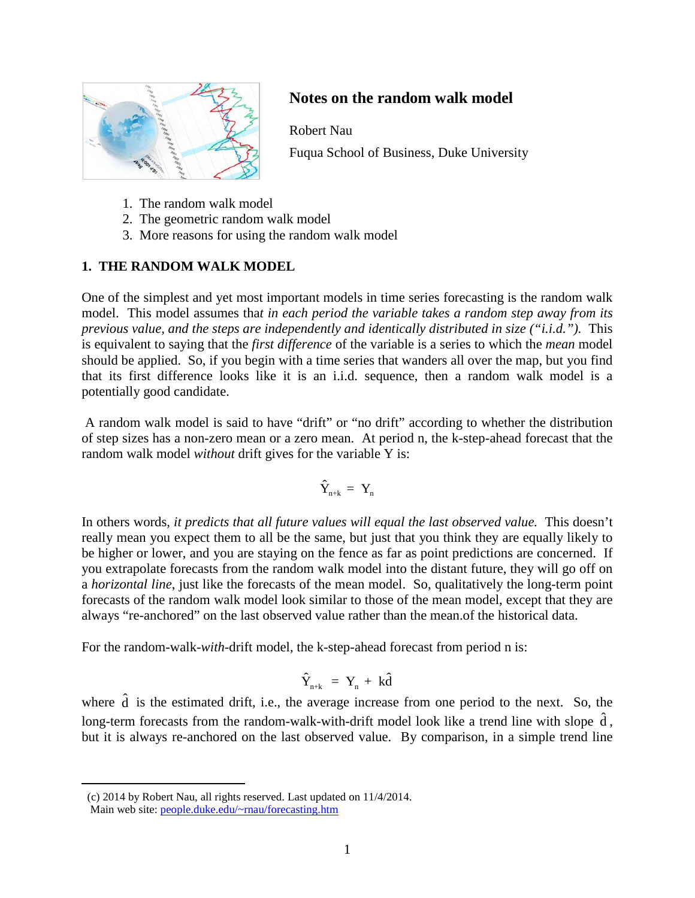

# **Notes on the random walk model**

Robert Nau

Fuqua School of Business, Duke University

- 1. The random walk model
- 2. The geometric random walk model
- 3. More reasons for using the random walk model

# **1. THE RANDOM WALK MODEL[1](#page-17-0)**

One of the simplest and yet most important models in time series forecasting is the random walk model. This model assumes tha*t in each period the variable takes a random step away from its previous value, and the steps are independently and identically distributed in size ("i.i.d.").* This is equivalent to saying that the *first difference* of the variable is a series to which the *mean* model should be applied. So, if you begin with a time series that wanders all over the map, but you find that its first difference looks like it is an i.i.d. sequence, then a random walk model is a potentially good candidate.

A random walk model is said to have "drift" or "no drift" according to whether the distribution of step sizes has a non-zero mean or a zero mean. At period n, the k-step-ahead forecast that the random walk model *without* drift gives for the variable Y is:

$$
\hat{Y}_{n+k}\ =\ Y_n
$$

In others words*, it predicts that all future values will equal the last observed value.* This doesn't really mean you expect them to all be the same, but just that you think they are equally likely to be higher or lower, and you are staying on the fence as far as point predictions are concerned. If you extrapolate forecasts from the random walk model into the distant future, they will go off on a *horizontal line*, just like the forecasts of the mean model. So, qualitatively the long-term point forecasts of the random walk model look similar to those of the mean model, except that they are always "re-anchored" on the last observed value rather than the mean.of the historical data.

For the random-walk-*with*-drift model, the k-step-ahead forecast from period n is:

$$
\hat{Y}_{n+k} = Y_n + k\hat{d}
$$

<span id="page-0-0"></span>where  $\hat{d}$  is the estimated drift, i.e., the average increase from one period to the next. So, the long-term forecasts from the random-walk-with-drift model look like a trend line with slope  $\hat{d}$ , but it is always re-anchored on the last observed value. By comparison, in a simple trend line

 $\alpha$ ) 2014 by Robert Nau, all rights reserved. Last updated on 11/4/2014.

Main web site: [people.duke.edu/~rnau/forecasting.htm](http://people.duke.edu/~rnau/forecasting.htm)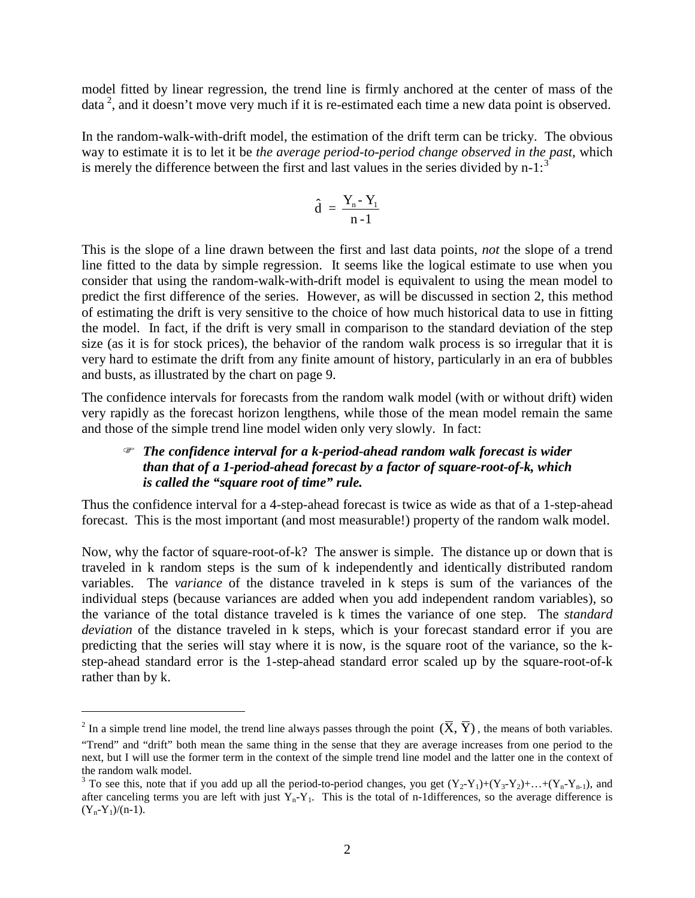model fitted by linear regression, the trend line is firmly anchored at the center of mass of the data<sup>[2](#page-0-0)</sup>, and it doesn't move very much if it is re-estimated each time a new data point is observed.

In the random-walk-with-drift model, the estimation of the drift term can be tricky. The obvious way to estimate it is to let it be *the average period-to-period change observed in the past,* which is merely the difference between the first and last values in the series divided by  $n-1$ :<sup>[3](#page-1-0)</sup>

$$
\hat{d} = \frac{Y_n - Y_1}{n-1}
$$

This is the slope of a line drawn between the first and last data points, *not* the slope of a trend line fitted to the data by simple regression. It seems like the logical estimate to use when you consider that using the random-walk-with-drift model is equivalent to using the mean model to predict the first difference of the series. However, as will be discussed in section 2, this method of estimating the drift is very sensitive to the choice of how much historical data to use in fitting the model. In fact, if the drift is very small in comparison to the standard deviation of the step size (as it is for stock prices), the behavior of the random walk process is so irregular that it is very hard to estimate the drift from any finite amount of history, particularly in an era of bubbles and busts, as illustrated by the chart on page 9.

The confidence intervals for forecasts from the random walk model (with or without drift) widen very rapidly as the forecast horizon lengthens, while those of the mean model remain the same and those of the simple trend line model widen only very slowly. In fact:

### *The confidence interval for a k-period-ahead random walk forecast is wider than that of a 1-period-ahead forecast by a factor of square-root-of-k, which is called the "square root of time" rule.*

Thus the confidence interval for a 4-step-ahead forecast is twice as wide as that of a 1-step-ahead forecast. This is the most important (and most measurable!) property of the random walk model.

Now, why the factor of square-root-of-k? The answer is simple. The distance up or down that is traveled in k random steps is the sum of k independently and identically distributed random variables. The *variance* of the distance traveled in k steps is sum of the variances of the individual steps (because variances are added when you add independent random variables), so the variance of the total distance traveled is k times the variance of one step. The *standard deviation* of the distance traveled in k steps, which is your forecast standard error if you are predicting that the series will stay where it is now, is the square root of the variance, so the kstep-ahead standard error is the 1-step-ahead standard error scaled up by the square-root-of-k rather than by k.

<span id="page-1-1"></span><sup>&</sup>lt;sup>2</sup> In a simple trend line model, the trend line always passes through the point  $(\overline{X}, \overline{Y})$ , the means of both variables. "Trend" and "drift" both mean the same thing in the sense that they are average increases from one period to the next, but I will use the former term in the context of the simple trend line model and the latter one in the context of the random walk model.

<span id="page-1-0"></span><sup>&</sup>lt;sup>3</sup> To see this, note that if you add up all the period-to-period changes, you get  $(Y_2-Y_1)+(Y_3-Y_2)+...+(Y_n-Y_{n-1})$ , and after canceling terms you are left with just  $Y_n - Y_1$ . This is the total of n-1differences, so the average difference is  $(Y_n-Y_1)/(n-1)$ .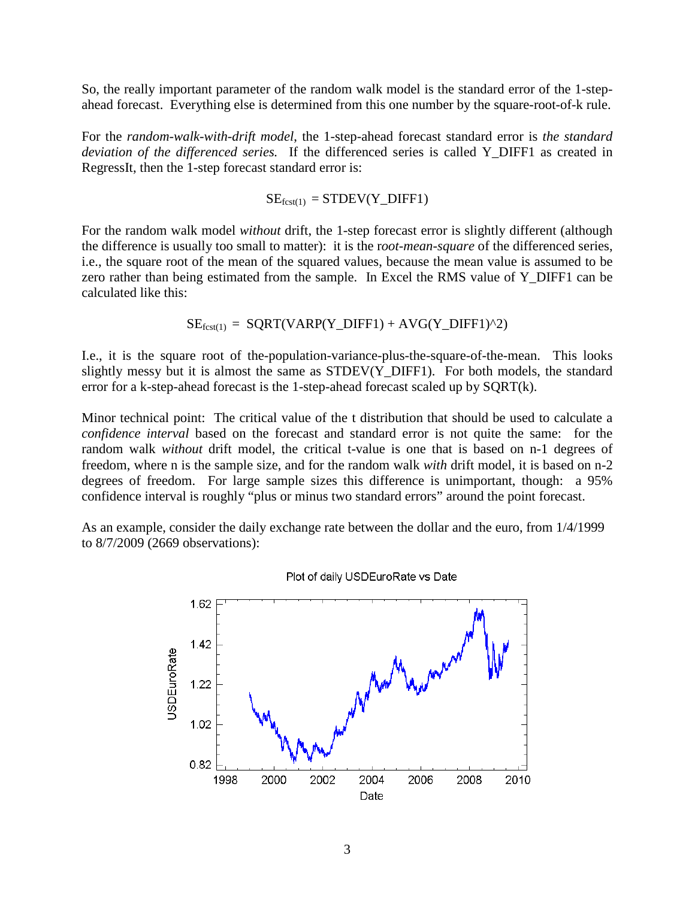So, the really important parameter of the random walk model is the standard error of the 1-stepahead forecast. Everything else is determined from this one number by the square-root-of-k rule.

For the *random-walk-with-drift model*, the 1-step-ahead forecast standard error is *the standard deviation of the differenced series.* If the differenced series is called Y\_DIFF1 as created in RegressIt, then the 1-step forecast standard error is:

$$
SE_{\text{fcst}(1)} = STDEV(Y\_DIFF1)
$$

For the random walk model *without* drift, the 1-step forecast error is slightly different (although the difference is usually too small to matter): it is the r*oot-mean-square* of the differenced series, i.e., the square root of the mean of the squared values, because the mean value is assumed to be zero rather than being estimated from the sample. In Excel the RMS value of Y\_DIFF1 can be calculated like this:

$$
SE_{fest(1)} = SQRT(VARP(Y_DIFF1) + AVG(Y_DIFF1)^2)
$$

I.e., it is the square root of the-population-variance-plus-the-square-of-the-mean. This looks slightly messy but it is almost the same as STDEV(Y\_DIFF1). For both models, the standard error for a k-step-ahead forecast is the 1-step-ahead forecast scaled up by SQRT(k).

Minor technical point: The critical value of the t distribution that should be used to calculate a *confidence interval* based on the forecast and standard error is not quite the same: for the random walk *without* drift model, the critical t-value is one that is based on n-1 degrees of freedom, where n is the sample size, and for the random walk *with* drift model, it is based on n-2 degrees of freedom. For large sample sizes this difference is unimportant, though: a 95% confidence interval is roughly "plus or minus two standard errors" around the point forecast.

As an example, consider the daily exchange rate between the dollar and the euro, from 1/4/1999 to 8/7/2009 (2669 observations):



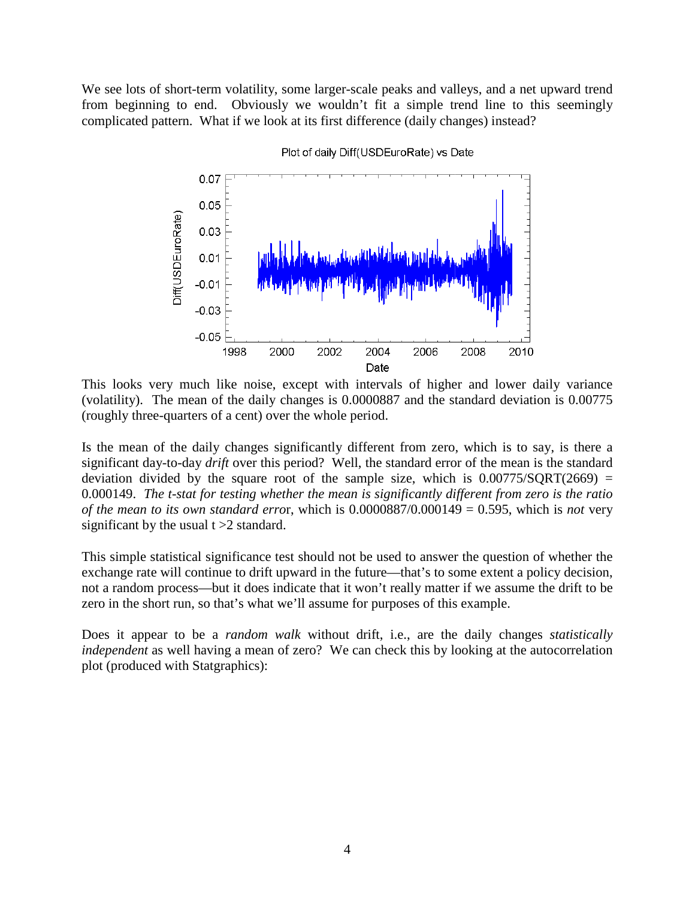We see lots of short-term volatility, some larger-scale peaks and valleys, and a net upward trend from beginning to end. Obviously we wouldn't fit a simple trend line to this seemingly complicated pattern. What if we look at its first difference (daily changes) instead?



Plot of daily Diff(USDEuroRate) vs Date

This looks very much like noise, except with intervals of higher and lower daily variance (volatility). The mean of the daily changes is 0.0000887 and the standard deviation is 0.00775 (roughly three-quarters of a cent) over the whole period.

Is the mean of the daily changes significantly different from zero, which is to say, is there a significant day-to-day *drift* over this period? Well, the standard error of the mean is the standard deviation divided by the square root of the sample size, which is  $0.00775/SQRT(2669) =$ 0.000149. *The t-stat for testing whether the mean is significantly different from zero is the ratio of the mean to its own standard erro*r, which is 0.0000887/0.000149 = 0.595, which is *not* very significant by the usual  $t > 2$  standard.

This simple statistical significance test should not be used to answer the question of whether the exchange rate will continue to drift upward in the future—that's to some extent a policy decision, not a random process—but it does indicate that it won't really matter if we assume the drift to be zero in the short run, so that's what we'll assume for purposes of this example.

Does it appear to be a *random walk* without drift, i.e., are the daily changes *statistically independent* as well having a mean of zero? We can check this by looking at the autocorrelation plot (produced with Statgraphics):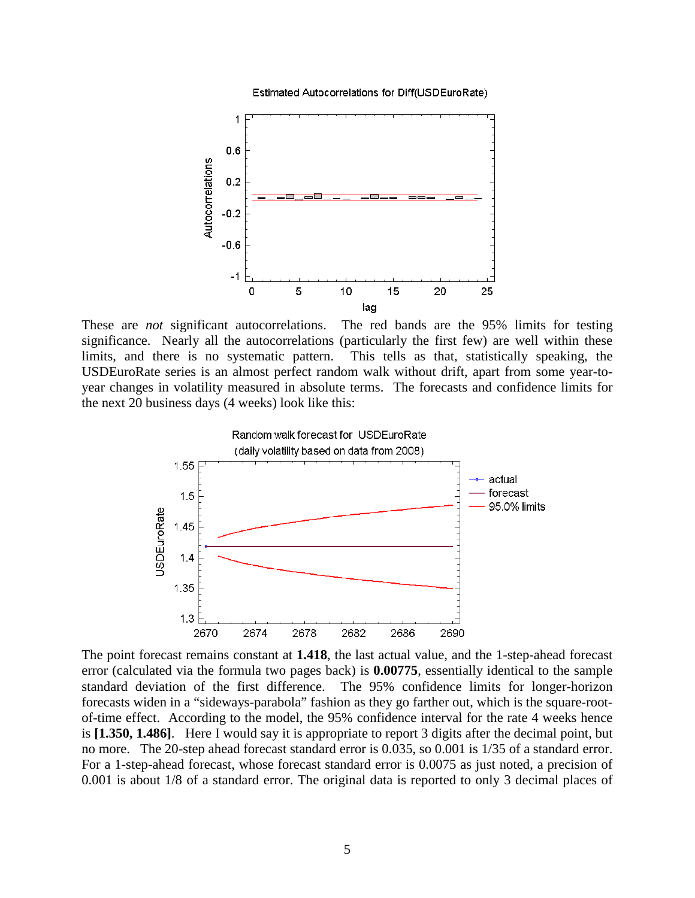Estimated Autocorrelations for Diff(USDEuroRate)



These are *not* significant autocorrelations. The red bands are the 95% limits for testing significance. Nearly all the autocorrelations (particularly the first few) are well within these limits, and there is no systematic pattern. This tells as that, statistically speaking, the USDEuroRate series is an almost perfect random walk without drift, apart from some year-toyear changes in volatility measured in absolute terms. The forecasts and confidence limits for the next 20 business days (4 weeks) look like this:



The point forecast remains constant at **1.418**, the last actual value, and the 1-step-ahead forecast error (calculated via the formula two pages back) is **0.00775**, essentially identical to the sample standard deviation of the first difference. The 95% confidence limits for longer-horizon forecasts widen in a "sideways-parabola" fashion as they go farther out, which is the square-rootof-time effect. According to the model, the 95% confidence interval for the rate 4 weeks hence is **[1.350, 1.486]**. Here I would say it is appropriate to report 3 digits after the decimal point, but no more. The 20-step ahead forecast standard error is 0.035, so 0.001 is 1/35 of a standard error. For a 1-step-ahead forecast, whose forecast standard error is 0.0075 as just noted, a precision of 0.001 is about 1/8 of a standard error. The original data is reported to only 3 decimal places of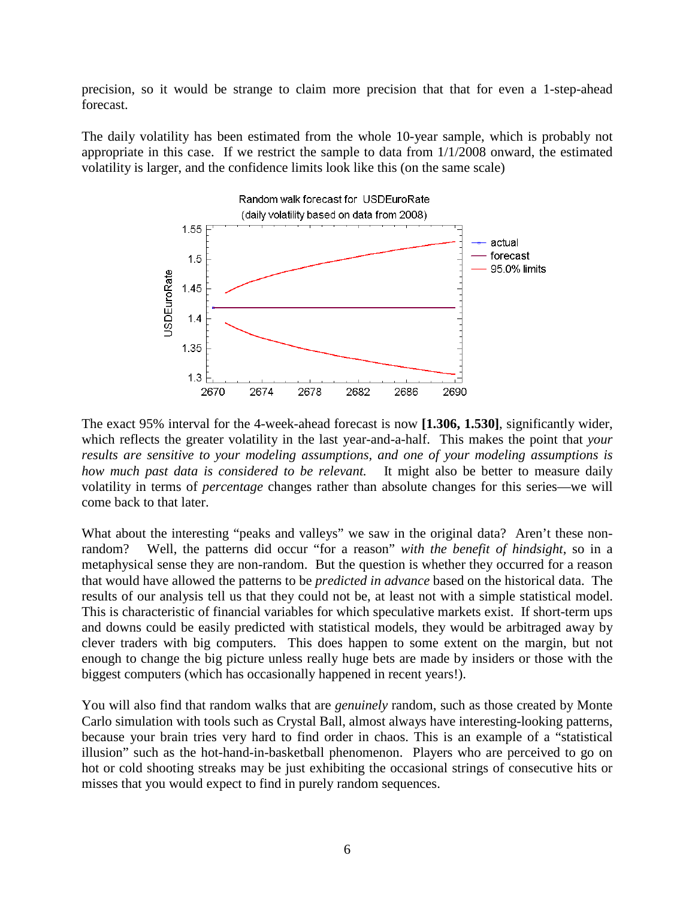precision, so it would be strange to claim more precision that that for even a 1-step-ahead forecast.

The daily volatility has been estimated from the whole 10-year sample, which is probably not appropriate in this case. If we restrict the sample to data from 1/1/2008 onward, the estimated volatility is larger, and the confidence limits look like this (on the same scale)



The exact 95% interval for the 4-week-ahead forecast is now **[1.306, 1.530]**, significantly wider, which reflects the greater volatility in the last year-and-a-half. This makes the point that *your results are sensitive to your modeling assumptions, and one of your modeling assumptions is how much past data is considered to be relevant.* It might also be better to measure daily volatility in terms of *percentage* changes rather than absolute changes for this series—we will come back to that later.

What about the interesting "peaks and valleys" we saw in the original data? Aren't these nonrandom? Well, the patterns did occur "for a reason" *with the benefit of hindsight*, so in a metaphysical sense they are non-random. But the question is whether they occurred for a reason that would have allowed the patterns to be *predicted in advance* based on the historical data. The results of our analysis tell us that they could not be, at least not with a simple statistical model. This is characteristic of financial variables for which speculative markets exist. If short-term ups and downs could be easily predicted with statistical models, they would be arbitraged away by clever traders with big computers. This does happen to some extent on the margin, but not enough to change the big picture unless really huge bets are made by insiders or those with the biggest computers (which has occasionally happened in recent years!).

You will also find that random walks that are *genuinely* random, such as those created by Monte Carlo simulation with tools such as Crystal Ball, almost always have interesting-looking patterns, because your brain tries very hard to find order in chaos. This is an example of a "statistical illusion" such as the hot-hand-in-basketball phenomenon. Players who are perceived to go on hot or cold shooting streaks may be just exhibiting the occasional strings of consecutive hits or misses that you would expect to find in purely random sequences.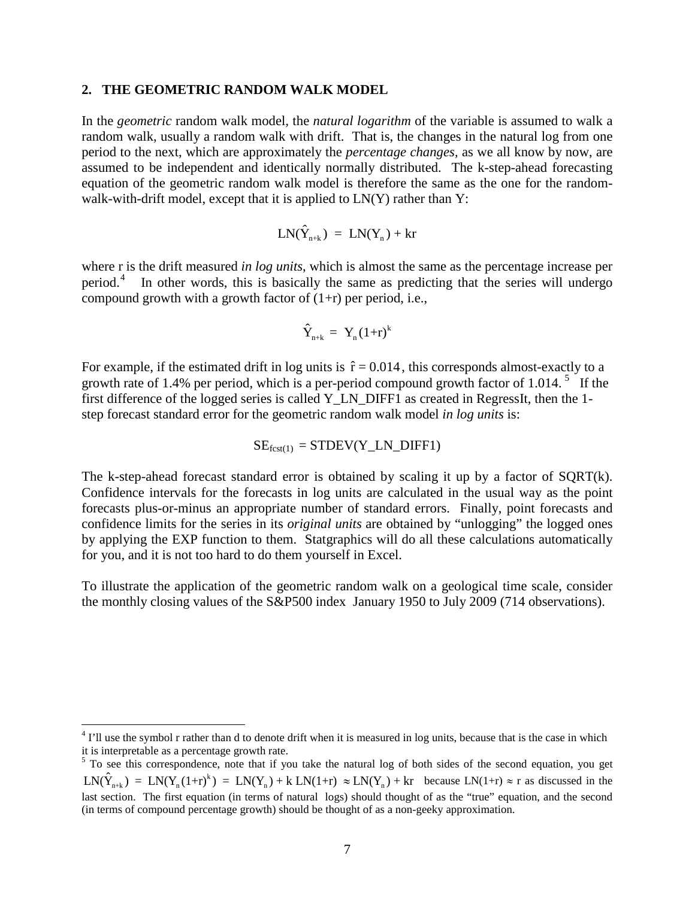#### **2. THE GEOMETRIC RANDOM WALK MODEL**

In the *geometric* random walk model*,* the *natural logarithm* of the variable is assumed to walk a random walk, usually a random walk with drift. That is, the changes in the natural log from one period to the next, which are approximately the *percentage changes,* as we all know by now, are assumed to be independent and identically normally distributed. The k-step-ahead forecasting equation of the geometric random walk model is therefore the same as the one for the randomwalk-with-drift model, except that it is applied to  $LN(Y)$  rather than  $Y$ :

$$
LN(\hat{Y}_{n+k}) = LN(Y_n) + kr
$$

where r is the drift measured *in log units*, which is almost the same as the percentage increase per period.[4](#page-1-1) In other words, this is basically the same as predicting that the series will undergo compound growth with a growth factor of  $(1+r)$  per period, i.e.,

$$
\hat{Y}_{n+k} = Y_n (1+r)^k
$$

For example, if the estimated drift in log units is  $\hat{r} = 0.014$ , this corresponds almost-exactly to a growth rate of 1.4% per period, which is a per-period compound growth factor of 1.014.<sup>[5](#page-6-0)</sup> If the first difference of the logged series is called Y\_LN\_DIFF1 as created in RegressIt, then the 1 step forecast standard error for the geometric random walk model *in log units* is:

$$
SE_{fcst(1)} = STDEV(Y_LN_DIFF1)
$$

The k-step-ahead forecast standard error is obtained by scaling it up by a factor of SQRT(k). Confidence intervals for the forecasts in log units are calculated in the usual way as the point forecasts plus-or-minus an appropriate number of standard errors. Finally, point forecasts and confidence limits for the series in its *original units* are obtained by "unlogging" the logged ones by applying the EXP function to them. Statgraphics will do all these calculations automatically for you, and it is not too hard to do them yourself in Excel.

To illustrate the application of the geometric random walk on a geological time scale, consider the monthly closing values of the S&P500 index January 1950 to July 2009 (714 observations).

<sup>&</sup>lt;sup>4</sup> I'll use the symbol r rather than d to denote drift when it is measured in log units, because that is the case in which it is interpretable as a percentage growth rate.

<span id="page-6-1"></span><span id="page-6-0"></span><sup>&</sup>lt;sup>5</sup> To see this correspondence, note that if you take the natural log of both sides of the second equation, you get  $LN(\hat{Y}_{n+k}) = LN(Y_n(1+r)^k) = LN(Y_n) + k LN(1+r) \approx LN(Y_n) + kr$  because  $LN(1+r) \approx r$  as discussed in the last section. The first equation (in terms of natural logs) should thought of as the "true" equation, and the second (in terms of compound percentage growth) should be thought of as a non-geeky approximation.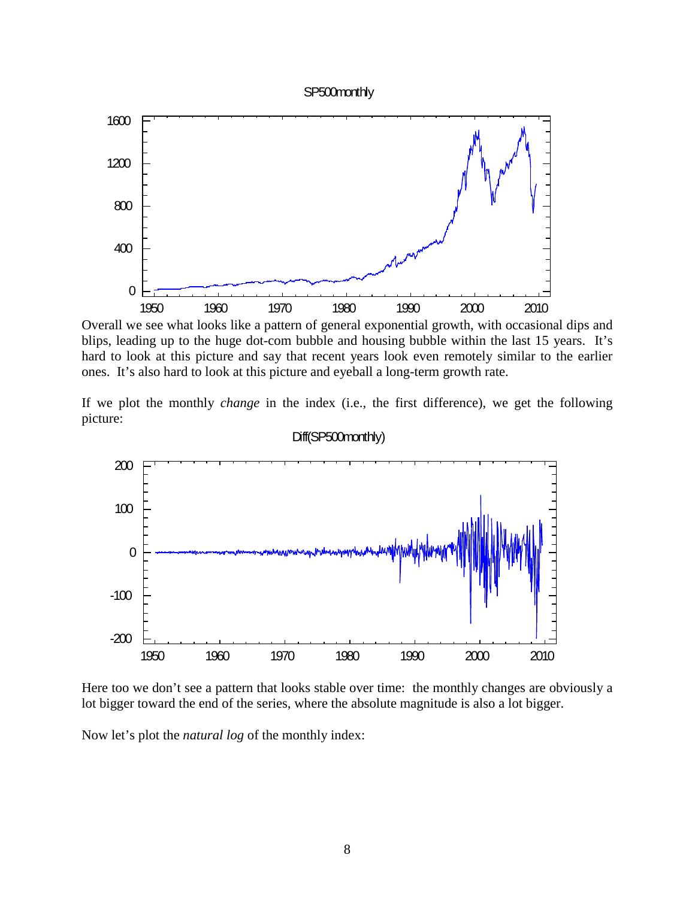#### SP500monthly



Overall we see what looks like a pattern of general exponential growth, with occasional dips and blips, leading up to the huge dot-com bubble and housing bubble within the last 15 years. It's hard to look at this picture and say that recent years look even remotely similar to the earlier ones. It's also hard to look at this picture and eyeball a long-term growth rate.

If we plot the monthly *change* in the index (i.e., the first difference), we get the following picture:



### Diff(SP500monthly)

Here too we don't see a pattern that looks stable over time: the monthly changes are obviously a lot bigger toward the end of the series, where the absolute magnitude is also a lot bigger.

Now let's plot the *natural log* of the monthly index: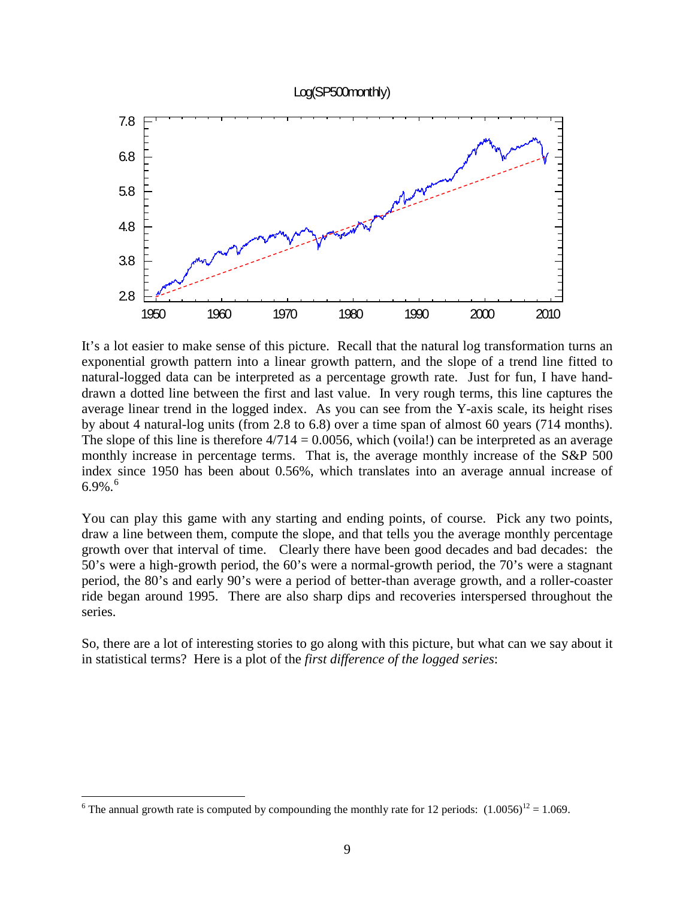### Log(SP500monthly)



It's a lot easier to make sense of this picture. Recall that the natural log transformation turns an exponential growth pattern into a linear growth pattern, and the slope of a trend line fitted to natural-logged data can be interpreted as a percentage growth rate. Just for fun, I have handdrawn a dotted line between the first and last value. In very rough terms, this line captures the average linear trend in the logged index. As you can see from the Y-axis scale, its height rises by about 4 natural-log units (from 2.8 to 6.8) over a time span of almost 60 years (714 months). The slope of this line is therefore  $4/714 = 0.0056$ , which (voila!) can be interpreted as an average monthly increase in percentage terms. That is, the average monthly increase of the S&P 500 index since 1950 has been about 0.56%, which translates into an average annual increase of [6](#page-6-1).9%. $^6$ 

You can play this game with any starting and ending points, of course. Pick any two points, draw a line between them, compute the slope, and that tells you the average monthly percentage growth over that interval of time. Clearly there have been good decades and bad decades: the 50's were a high-growth period, the 60's were a normal-growth period, the 70's were a stagnant period, the 80's and early 90's were a period of better-than average growth, and a roller-coaster ride began around 1995. There are also sharp dips and recoveries interspersed throughout the series.

So, there are a lot of interesting stories to go along with this picture, but what can we say about it in statistical terms? Here is a plot of the *first difference of the logged series*:

<span id="page-8-0"></span><sup>&</sup>lt;sup>6</sup> The annual growth rate is computed by compounding the monthly rate for 12 periods:  $(1.0056)^{12} = 1.069$ .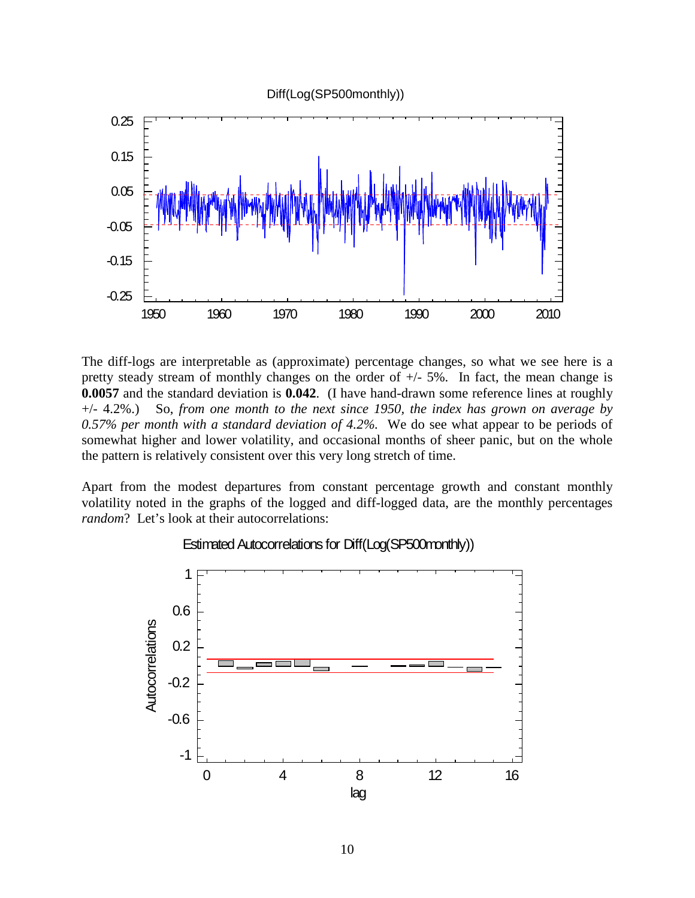

The diff-logs are interpretable as (approximate) percentage changes, so what we see here is a pretty steady stream of monthly changes on the order of  $+/- 5\%$ . In fact, the mean change is **0.0057** and the standard deviation is **0.042**. (I have hand-drawn some reference lines at roughly +/- 4.2%.) So, *from one month to the next since 1950, the index has grown on average by 0.57% per month with a standard deviation of 4.2%.* We do see what appear to be periods of somewhat higher and lower volatility, and occasional months of sheer panic, but on the whole the pattern is relatively consistent over this very long stretch of time.

Apart from the modest departures from constant percentage growth and constant monthly volatility noted in the graphs of the logged and diff-logged data, are the monthly percentages *random*? Let's look at their autocorrelations:



### Estimated Autocorrelations for Diff(Log(SP500monthly))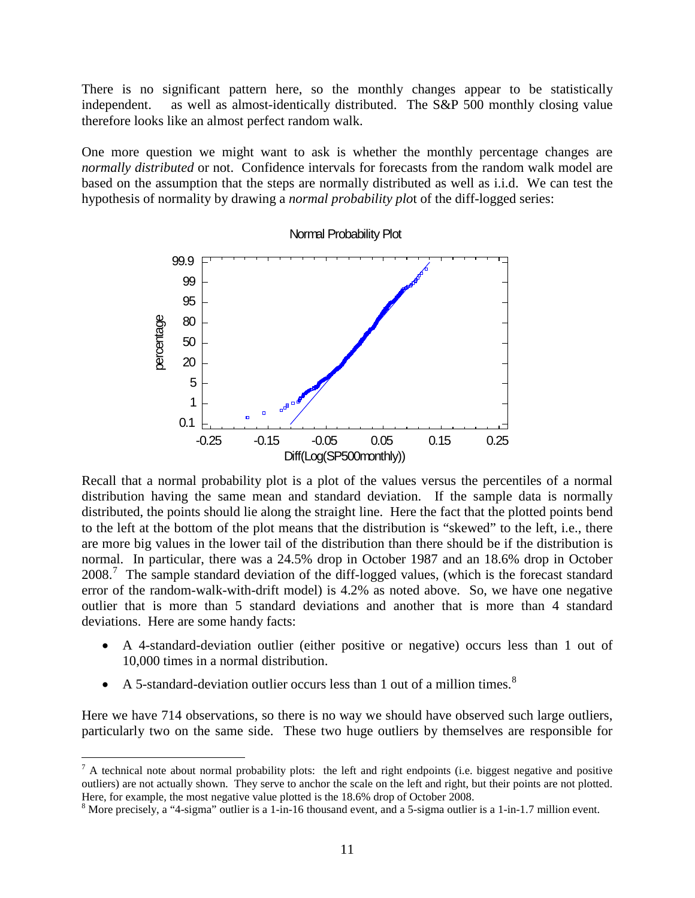There is no significant pattern here, so the monthly changes appear to be statistically independent. as well as almost-identically distributed. The S&P 500 monthly closing value therefore looks like an almost perfect random walk.

One more question we might want to ask is whether the monthly percentage changes are *normally distributed* or not. Confidence intervals for forecasts from the random walk model are based on the assumption that the steps are normally distributed as well as i.i.d. We can test the hypothesis of normality by drawing a *normal probability plo*t of the diff-logged series:



Normal Probability Plot

Recall that a normal probability plot is a plot of the values versus the percentiles of a normal distribution having the same mean and standard deviation. If the sample data is normally distributed, the points should lie along the straight line. Here the fact that the plotted points bend to the left at the bottom of the plot means that the distribution is "skewed" to the left, i.e., there are more big values in the lower tail of the distribution than there should be if the distribution is normal. In particular, there was a 24.5% drop in October 1987 and an 18.6% drop in October 2008.<sup>[7](#page-8-0)</sup> The sample standard deviation of the diff-logged values, (which is the forecast standard error of the random-walk-with-drift model) is 4.2% as noted above. So, we have one negative outlier that is more than 5 standard deviations and another that is more than 4 standard deviations. Here are some handy facts:

- A 4-standard-deviation outlier (either positive or negative) occurs less than 1 out of 10,000 times in a normal distribution.
- A 5-standard-deviation outlier occurs less than 1 out of a million times.<sup>[8](#page-10-0)</sup>

Here we have 714 observations, so there is no way we should have observed such large outliers, particularly two on the same side. These two huge outliers by themselves are responsible for

 $<sup>7</sup>$  A technical note about normal probability plots: the left and right endpoints (i.e. biggest negative and positive</sup> outliers) are not actually shown. They serve to anchor the scale on the left and right, but their points are not plotted.<br>Here, for example, the most negative value plotted is the 18.6% drop of October 2008.

<span id="page-10-0"></span><sup>&</sup>lt;sup>8</sup> More precisely, a "4-sigma" outlier is a 1-in-16 thousand event, and a 5-sigma outlier is a 1-in-1.7 million event.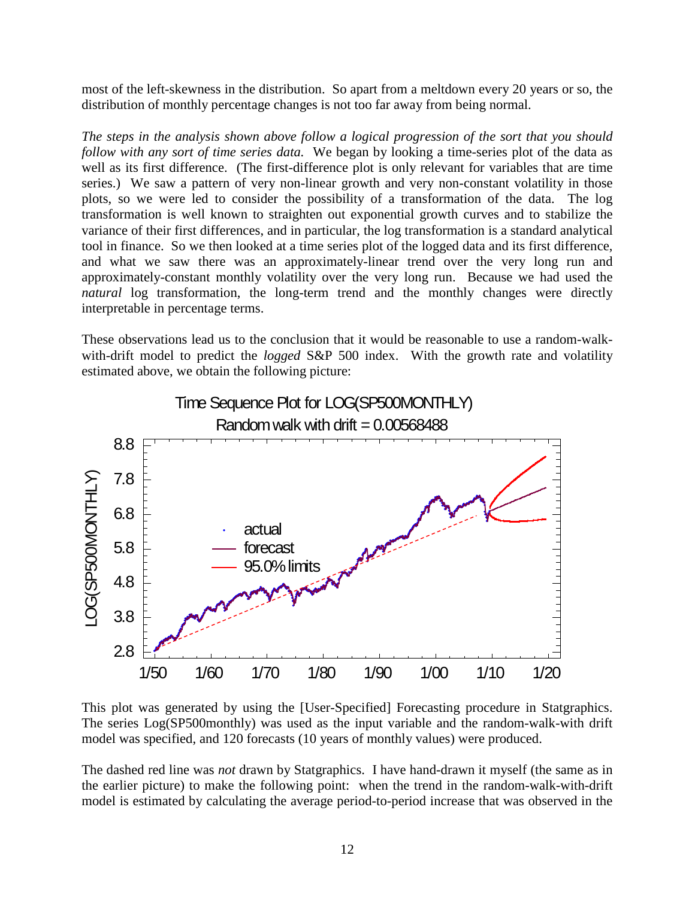most of the left-skewness in the distribution. So apart from a meltdown every 20 years or so, the distribution of monthly percentage changes is not too far away from being normal.

*The steps in the analysis shown above follow a logical progression of the sort that you should follow with any sort of time series data.* We began by looking a time-series plot of the data as well as its first difference. (The first-difference plot is only relevant for variables that are time series.) We saw a pattern of very non-linear growth and very non-constant volatility in those plots, so we were led to consider the possibility of a transformation of the data. The log transformation is well known to straighten out exponential growth curves and to stabilize the variance of their first differences, and in particular, the log transformation is a standard analytical tool in finance. So we then looked at a time series plot of the logged data and its first difference, and what we saw there was an approximately-linear trend over the very long run and approximately-constant monthly volatility over the very long run. Because we had used the *natural* log transformation, the long-term trend and the monthly changes were directly interpretable in percentage terms.

These observations lead us to the conclusion that it would be reasonable to use a random-walkwith-drift model to predict the *logged* S&P 500 index. With the growth rate and volatility estimated above, we obtain the following picture:



This plot was generated by using the [User-Specified] Forecasting procedure in Statgraphics. The series Log(SP500monthly) was used as the input variable and the random-walk-with drift model was specified, and 120 forecasts (10 years of monthly values) were produced.

The dashed red line was *not* drawn by Statgraphics. I have hand-drawn it myself (the same as in the earlier picture) to make the following point: when the trend in the random-walk-with-drift model is estimated by calculating the average period-to-period increase that was observed in the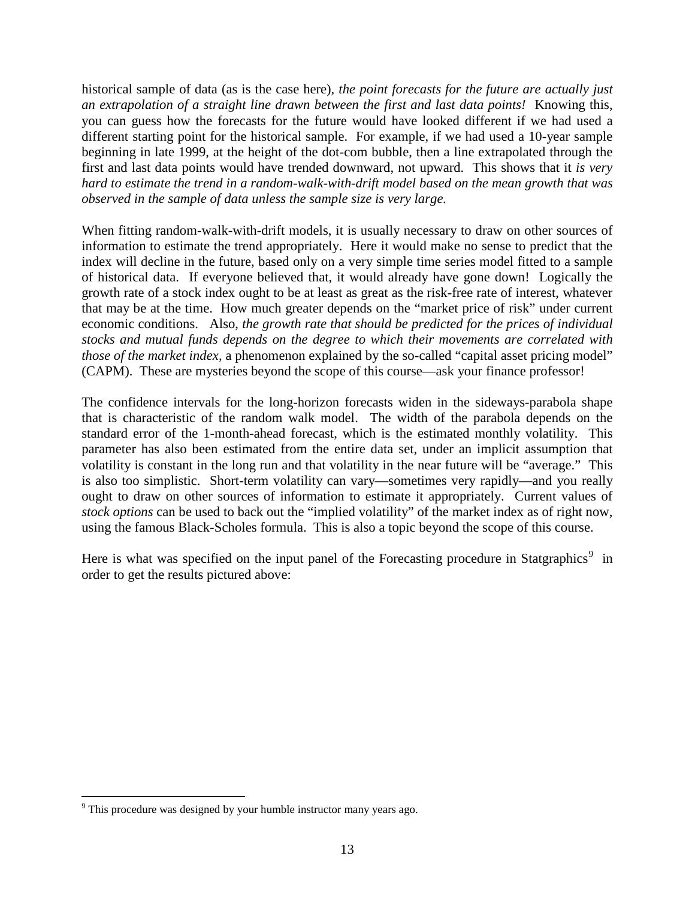historical sample of data (as is the case here), *the point forecasts for the future are actually just an extrapolation of a straight line drawn between the first and last data points!* Knowing this, you can guess how the forecasts for the future would have looked different if we had used a different starting point for the historical sample. For example, if we had used a 10-year sample beginning in late 1999, at the height of the dot-com bubble, then a line extrapolated through the first and last data points would have trended downward, not upward. This shows that it *is very hard to estimate the trend in a random-walk-with-drift model based on the mean growth that was observed in the sample of data unless the sample size is very large.*

When fitting random-walk-with-drift models, it is usually necessary to draw on other sources of information to estimate the trend appropriately. Here it would make no sense to predict that the index will decline in the future, based only on a very simple time series model fitted to a sample of historical data. If everyone believed that, it would already have gone down! Logically the growth rate of a stock index ought to be at least as great as the risk-free rate of interest, whatever that may be at the time. How much greater depends on the "market price of risk" under current economic conditions. Also, *the growth rate that should be predicted for the prices of individual stocks and mutual funds depends on the degree to which their movements are correlated with those of the market index,* a phenomenon explained by the so-called "capital asset pricing model" (CAPM). These are mysteries beyond the scope of this course—ask your finance professor!

The confidence intervals for the long-horizon forecasts widen in the sideways-parabola shape that is characteristic of the random walk model. The width of the parabola depends on the standard error of the 1-month-ahead forecast, which is the estimated monthly volatility. This parameter has also been estimated from the entire data set, under an implicit assumption that volatility is constant in the long run and that volatility in the near future will be "average." This is also too simplistic. Short-term volatility can vary—sometimes very rapidly—and you really ought to draw on other sources of information to estimate it appropriately. Current values of *stock options* can be used to back out the "implied volatility" of the market index as of right now, using the famous Black-Scholes formula. This is also a topic beyond the scope of this course.

Here is what was specified on the input panel of the Forecasting procedure in Statgraphics<sup>[9](#page-10-0)</sup> in order to get the results pictured above:

<span id="page-12-0"></span> $9$  This procedure was designed by your humble instructor many years ago.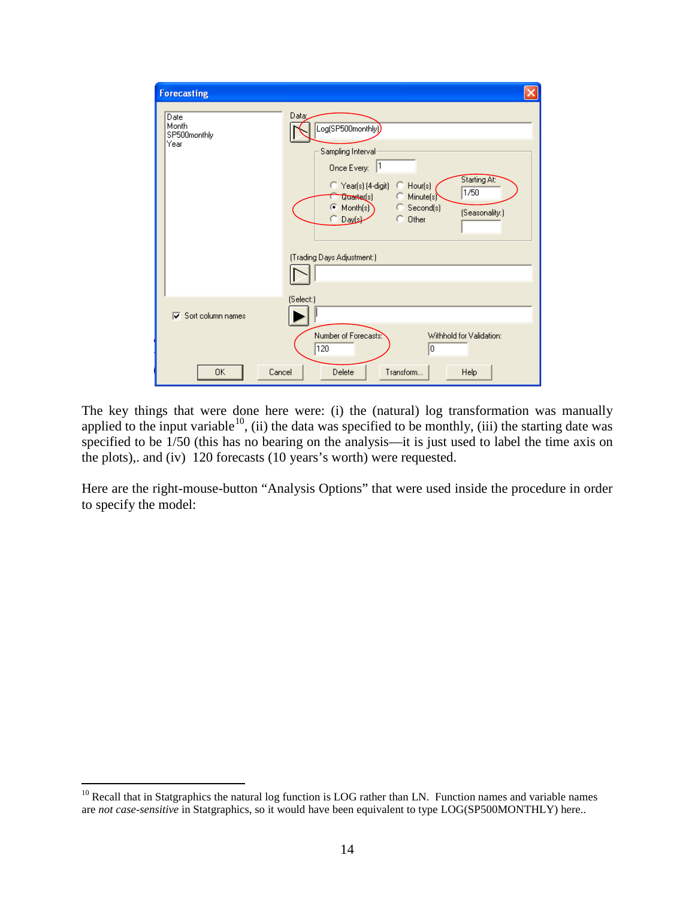| <b>Forecasting</b>                    |                                                                                                                                                                                                                                                                                            |
|---------------------------------------|--------------------------------------------------------------------------------------------------------------------------------------------------------------------------------------------------------------------------------------------------------------------------------------------|
| Date<br>Month<br>SP500monthly<br>Year | Data:<br>Log(SP500monthly))<br>Sampling Interval<br>Once Every: 1<br>Starting At:<br>$\heartsuit$ Year(s) (4-digit)<br>$\bigcirc$ Hour(s)<br>1/50<br>C Minute(s)<br><b>Quarter(s)</b><br>Month(s)<br>C Second(s)<br>r.<br>(Seasonality:)<br>C Other<br>Daysk<br>(Trading Days Adjustment:) |
| $\nabla$ Sort column names            | (Select:)<br>Number of Forecasts:<br>Withhold for Validation:                                                                                                                                                                                                                              |
| 0K                                    | 120<br>10<br>Delete<br>Transform<br>Cancel<br><b>Help</b>                                                                                                                                                                                                                                  |

The key things that were done here were: (i) the (natural) log transformation was manually applied to the input variable<sup>[10](#page-12-0)</sup>, (ii) the data was specified to be monthly, (iii) the starting date was specified to be 1/50 (this has no bearing on the analysis—it is just used to label the time axis on the plots),. and (iv) 120 forecasts (10 years's worth) were requested.

Here are the right-mouse-button "Analysis Options" that were used inside the procedure in order to specify the model:

 $10$  Recall that in Statgraphics the natural log function is LOG rather than LN. Function names and variable names are *not case-sensitive* in Statgraphics, so it would have been equivalent to type LOG(SP500MONTHLY) here..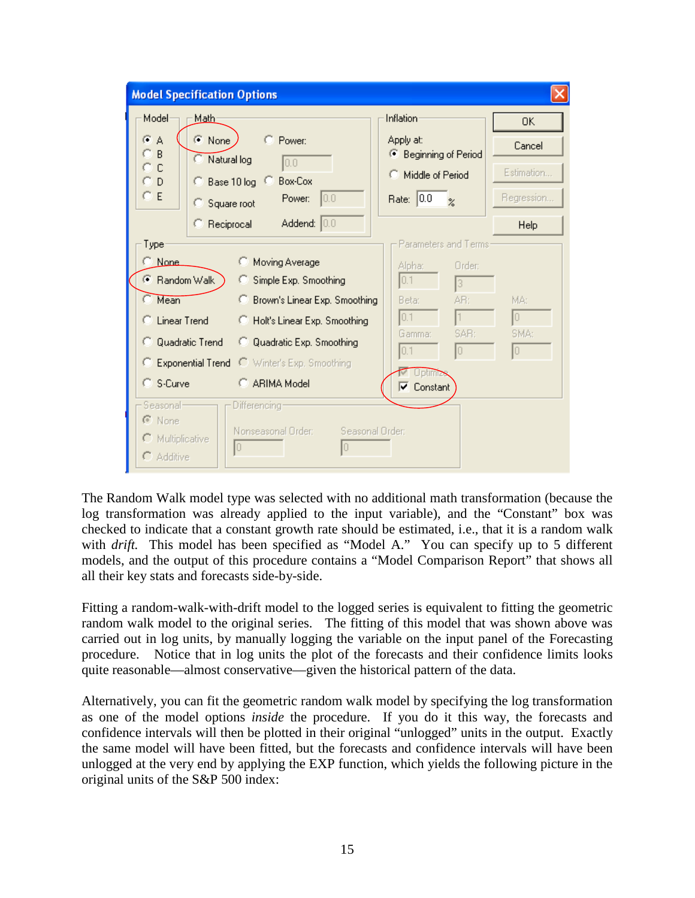| <b>Model Specification Options</b>                                                                                                                                                                                                                                                                                             |                                                                                                                                    |                         |  |  |  |
|--------------------------------------------------------------------------------------------------------------------------------------------------------------------------------------------------------------------------------------------------------------------------------------------------------------------------------|------------------------------------------------------------------------------------------------------------------------------------|-------------------------|--|--|--|
| Model<br>Math-                                                                                                                                                                                                                                                                                                                 | Inflation                                                                                                                          | 0K                      |  |  |  |
| $G$ A<br>$\odot$ None<br>Power:<br>B<br>Natural log<br> 0.0                                                                                                                                                                                                                                                                    | Apply at:<br>● Beginning of Period                                                                                                 | Cancel                  |  |  |  |
| C<br><b>Box-Cox</b><br>C Base 10 log C<br>D                                                                                                                                                                                                                                                                                    | Middle of Period                                                                                                                   | Estimation              |  |  |  |
| ΟE<br>0.0<br>Power:<br>Square root                                                                                                                                                                                                                                                                                             | Rate: 0.0<br>$\alpha$                                                                                                              | Regression              |  |  |  |
| Addend: 0.0<br>C Reciprocal                                                                                                                                                                                                                                                                                                    |                                                                                                                                    | Help                    |  |  |  |
| Type:<br>C None<br><b>C</b> Moving Average<br>⊙ Random Walk<br>C Simple Exp. Smoothing<br>Mean<br>C Brown's Linear Exp. Smoothing<br>C Linear Trend<br>C Holt's Linear Exp. Smoothing<br>C Quadratic Trend<br>C Quadratic Exp. Smoothing<br><b>C</b> Exponential Trend C Winter's Exp. Smoothing<br>C S-Curve<br>C ARIMA Model | Parameters and Terms:<br>Alpha:<br>Order:<br>0.1<br>13<br>AR:<br>Beta:<br>10.1<br>SAR:<br>Gamma:<br>0.1<br>10<br><b>▽</b> Constant | MA:<br>10<br>SMA:<br>10 |  |  |  |
| Seasonal-<br>Differencing:<br>C None<br>Seasonal Order:<br>Nonseasonal Order:<br>$\Gamma$ Multiplicative<br>Iо<br>0<br>C Additive                                                                                                                                                                                              |                                                                                                                                    |                         |  |  |  |

The Random Walk model type was selected with no additional math transformation (because the log transformation was already applied to the input variable), and the "Constant" box was checked to indicate that a constant growth rate should be estimated, i.e., that it is a random walk with *drift*. This model has been specified as "Model A." You can specify up to 5 different models, and the output of this procedure contains a "Model Comparison Report" that shows all all their key stats and forecasts side-by-side.

Fitting a random-walk-with-drift model to the logged series is equivalent to fitting the geometric random walk model to the original series. The fitting of this model that was shown above was carried out in log units, by manually logging the variable on the input panel of the Forecasting procedure. Notice that in log units the plot of the forecasts and their confidence limits looks quite reasonable—almost conservative—given the historical pattern of the data.

Alternatively, you can fit the geometric random walk model by specifying the log transformation as one of the model options *inside* the procedure. If you do it this way, the forecasts and confidence intervals will then be plotted in their original "unlogged" units in the output. Exactly the same model will have been fitted, but the forecasts and confidence intervals will have been unlogged at the very end by applying the EXP function, which yields the following picture in the original units of the S&P 500 index: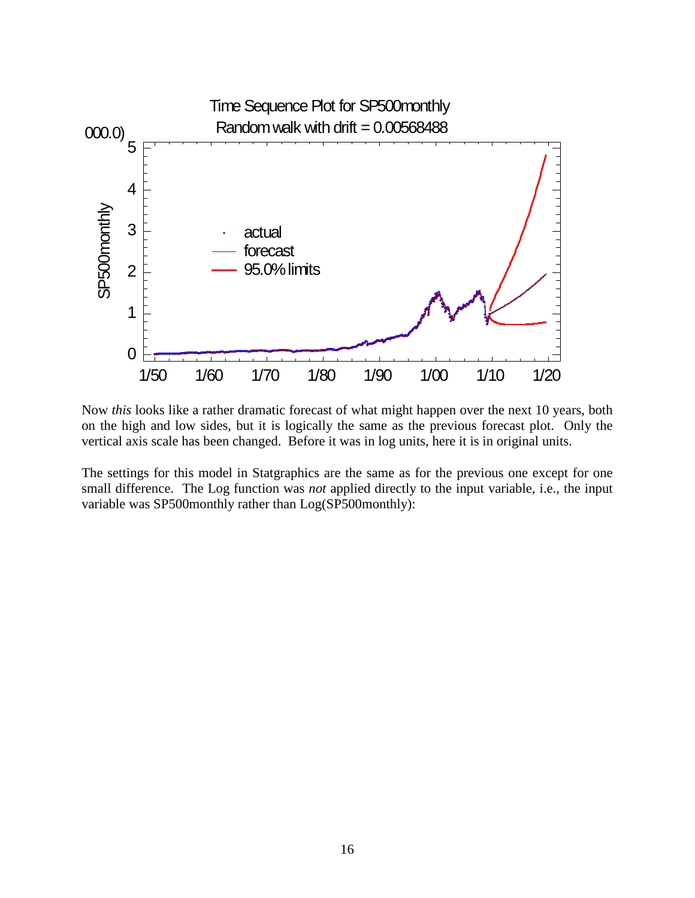

Now *this* looks like a rather dramatic forecast of what might happen over the next 10 years, both on the high and low sides, but it is logically the same as the previous forecast plot. Only the vertical axis scale has been changed. Before it was in log units, here it is in original units.

The settings for this model in Statgraphics are the same as for the previous one except for one small difference. The Log function was *not* applied directly to the input variable, i.e., the input variable was SP500monthly rather than Log(SP500monthly):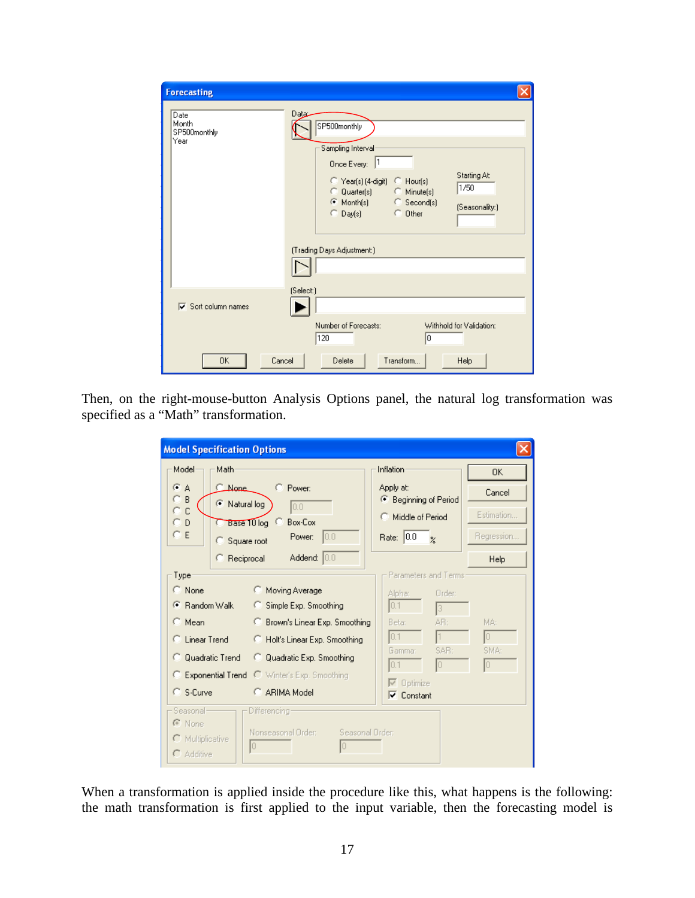| <b>Forecasting</b>                                            |                                                                                                                                                                                                                                                          |  |  |  |
|---------------------------------------------------------------|----------------------------------------------------------------------------------------------------------------------------------------------------------------------------------------------------------------------------------------------------------|--|--|--|
| Date<br>Month<br>SP500monthly<br>Year                         | Data:<br>SP500monthly<br>Sampling Interval<br>Once Every: 1<br>Starting At:<br>Year(s) (4-digit) C Hour(s)<br>1/50<br>C Quarter(s) C Minute(s)<br>C Month(s) C Second(s)<br>(Seasonality:)<br>$\bigcirc$ Day(s)<br>C Other<br>(Trading Days Adjustment:) |  |  |  |
| $\nabla$ Sort column names                                    | (Select:)                                                                                                                                                                                                                                                |  |  |  |
| Number of Forecasts:<br>Withhold for Validation:<br>120<br>10 |                                                                                                                                                                                                                                                          |  |  |  |
| 0K<br>Cancel                                                  | Transform<br>Delete<br>Help                                                                                                                                                                                                                              |  |  |  |

Then, on the right-mouse-button Analysis Options panel, the natural log transformation was specified as a "Math" transformation.

| <b>Model Specification Options</b>     |                                                   |                                    |             |  |  |
|----------------------------------------|---------------------------------------------------|------------------------------------|-------------|--|--|
| Model<br>Math                          |                                                   | Inflation                          | OK.         |  |  |
| $G$ A<br><b>C_None</b><br>B            | C Power:                                          | Apply at:<br>● Beginning of Period | Cancel      |  |  |
| C Natural log<br>C                     | 0.0                                               | C Middle of Period                 | Estimation  |  |  |
| СD<br>ΘE<br>Square root                | Base 10 log C<br><b>Box-Cox</b><br>10.0<br>Power: | Rate: 0.0<br>$\alpha$              | Regression  |  |  |
| C Reciprocal                           | Addend: 0.0                                       |                                    | <b>Help</b> |  |  |
| Type                                   |                                                   | Parameters and Terms:              |             |  |  |
| $\subset$ None                         | <b>C</b> Moving Average                           | Alpha:<br>Order:                   |             |  |  |
| <b>E</b> Random Walk                   | Simple Exp. Smoothing                             | 10.1<br>13                         |             |  |  |
| $\subseteq$ Mean                       | <sup>6</sup> Brown's Linear Exp. Smoothing        | Beta:<br>AB:                       | MA:         |  |  |
| ◯ Linear Trend                         | <b>C</b> Holt's Linear Exp. Smoothing             | 0.1                                | 10          |  |  |
| Quadratic Trend<br>œ                   | C Quadratic Exp. Smoothing                        | Gamma:<br>SAR:                     | SMA:        |  |  |
|                                        | C Exponential Trend C Winter's Exp. Smoothing     | 0.1<br>10                          | 10          |  |  |
| C. S-Curve                             | C ARIMA Model                                     | $\nabla$ Optimize                  |             |  |  |
|                                        |                                                   | $\nabla$ Constant                  |             |  |  |
| Seasonal-                              | Differencing                                      |                                    |             |  |  |
| C None                                 | Nonseasonal Order:<br>Seasonal Order:             |                                    |             |  |  |
| C Multiplicative<br>$\bigcap$ Additive | lo<br>n                                           |                                    |             |  |  |
|                                        |                                                   |                                    |             |  |  |

When a transformation is applied inside the procedure like this, what happens is the following: the math transformation is first applied to the input variable, then the forecasting model is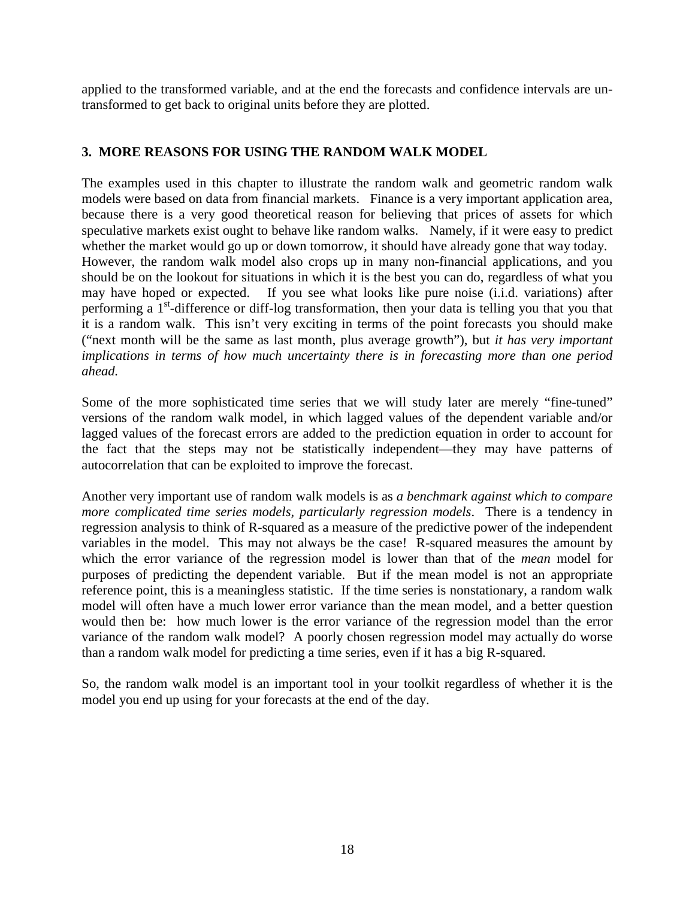applied to the transformed variable, and at the end the forecasts and confidence intervals are untransformed to get back to original units before they are plotted.

# **3. MORE REASONS FOR USING THE RANDOM WALK MODEL**

The examples used in this chapter to illustrate the random walk and geometric random walk models were based on data from financial markets. Finance is a very important application area, because there is a very good theoretical reason for believing that prices of assets for which speculative markets exist ought to behave like random walks. Namely, if it were easy to predict whether the market would go up or down tomorrow, it should have already gone that way today. However, the random walk model also crops up in many non-financial applications, and you should be on the lookout for situations in which it is the best you can do, regardless of what you may have hoped or expected. If you see what looks like pure noise (i.i.d. variations) after performing a 1<sup>st</sup>-difference or diff-log transformation, then your data is telling you that you that it is a random walk. This isn't very exciting in terms of the point forecasts you should make ("next month will be the same as last month, plus average growth"), but *it has very important implications in terms of how much uncertainty there is in forecasting more than one period ahead.*

Some of the more sophisticated time series that we will study later are merely "fine-tuned" versions of the random walk model, in which lagged values of the dependent variable and/or lagged values of the forecast errors are added to the prediction equation in order to account for the fact that the steps may not be statistically independent—they may have patterns of autocorrelation that can be exploited to improve the forecast.

Another very important use of random walk models is as *a benchmark against which to compare more complicated time series models, particularly regression models*. There is a tendency in regression analysis to think of R-squared as a measure of the predictive power of the independent variables in the model. This may not always be the case! R-squared measures the amount by which the error variance of the regression model is lower than that of the *mean* model for purposes of predicting the dependent variable. But if the mean model is not an appropriate reference point, this is a meaningless statistic. If the time series is nonstationary, a random walk model will often have a much lower error variance than the mean model, and a better question would then be: how much lower is the error variance of the regression model than the error variance of the random walk model? A poorly chosen regression model may actually do worse than a random walk model for predicting a time series, even if it has a big R-squared.

<span id="page-17-0"></span>So, the random walk model is an important tool in your toolkit regardless of whether it is the model you end up using for your forecasts at the end of the day.